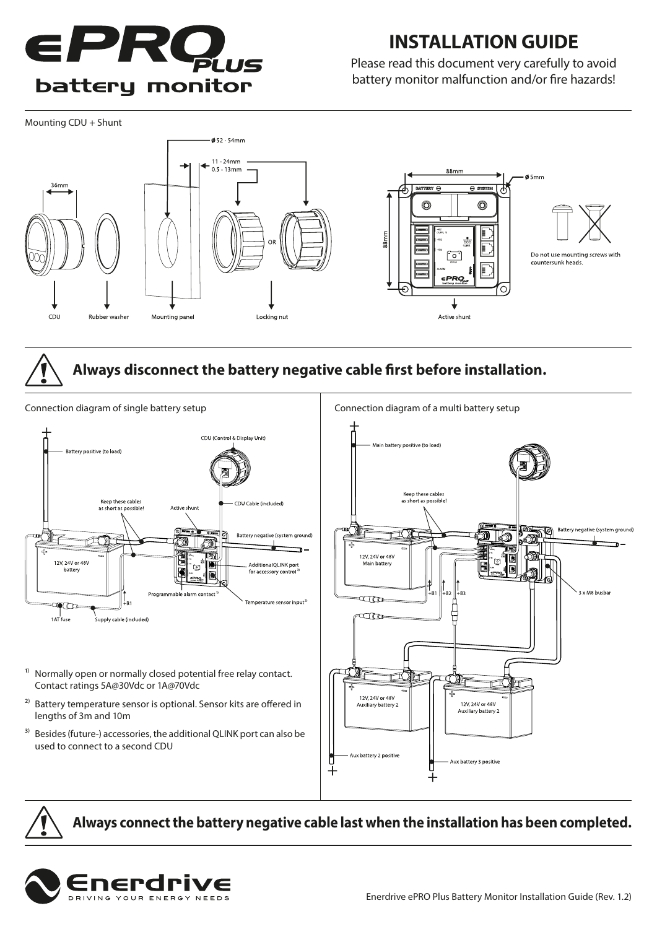

## **INSTALLATION GUIDE**

Please read this document very carefully to avoid battery monitor malfunction and/or fire hazards!

Mounting CDU + Shunt



### **Always disconnect the battery negative cable first before installation.**



**Always connect the battery negative cable last when the installation has been completed.**



Battery negative (system grou

3 x M8 busbar